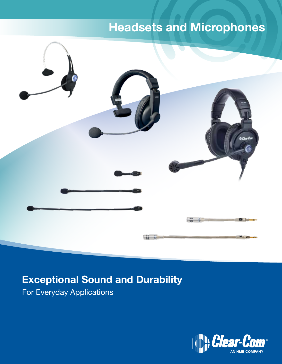# Headsets and Microphones



# Exceptional Sound and Durability

For Everyday Applications

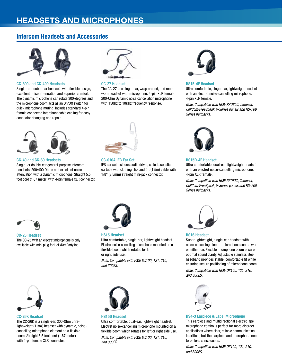# Headsets and Microphones

## Intercom Headsets and Accessories



#### CC-300 and CC-400 Headsets

Single- or double-ear headsets with flexible design, excellent noise attenuation and superior comfort. The dynamic microphone can rotate 300-degrees and the microphone boom acts as an On/Off switch for quick microphone muting. Includes standard 4-pin female connector. Interchangeable cabling for easy connector changing and repair.



#### CC-27 Headset

The CC-27 is a single-ear, wrap around, and rearworn headset with microphone. 4-pin XLR female. 200-Ohm Dynamic noise cancellation microphone with 150Hz to 10KHz frequency response.



#### HS15-4F Headset

Ultra comfortable, single-ear, lightweight headset with an electret noise-cancelling microphone. 4-pin XLR female.

*Note: Compatible with HME PRO850, Tempest, CellCom/FreeSpeak, V-Series panels and RS-700 Series beltpacks.*



#### CC-40 and CC-60 Headsets

Single- or double-ear general-purpose intercom headsets. 200/400 Ohms and excellent noise attenuation with a dynamic microphone. Straight 5.5 foot cord (1.67 meter) with 4-pin female XLR connector.



#### CC-010A IFB Ear Set

IFB ear set includes audio driver, coiled acoustic eartube with clothing clip, and 5ft (1.5m) cable with 1/8" (3.5mm) straight mini-jack connector.



#### HS15D-4F Headset

Ultra comfortable, dual-ear, lightweight headset with an electret noise-cancelling microphone. 4-pin XLR female.

*Note: Compatible with HME PRO850, Tempest, CellCom/FreeSpeak, V-Series panels and RS-700 Series beltpacks.*



#### CC-25 Headset The CC-25 with an electret microphone is only available with mini plug for HelixNet Partyline.



#### HS15 Headset

Ultra comfortable, single-ear, lightweight headset. Electret noise-cancelling microphone mounted on a flexible boom which rotates for left or right side use.

*Note: Compatible with HME DX100, 121, 210, and 300ES.*



#### CC-26K Headset

The CC-26K is a single-ear, 300-Ohm ultralightweight (1.3oz) headset with dynamic, noisecancelling microphone element on a flexible boom. Straight 5.5 foot cord (1.67 meter) with 4-pin female XLR connector.



#### HS15D Headset

Ultra comfortable, dual-ear, lightweight headset. Electret noise-cancelling microphone mounted on a flexible boom which rotates for left or right side use.

*Note: Compatible with HME DX100, 121, 210, and 300ES.*



#### HS16 Headset

Super lightweight, single-ear headset with noise-cancelling electret microphone can be worn on either ear. Flexible microphone boom ensures optimal sound clarity. Adjustable stainless steel headband provides stable, comfortable fit while ensuring secure positioning of microphone boom.

*Note: Compatible with HME DX100, 121, 210, and 300ES.*



HS4-3 Earpiece & Lapel Microphone This earpiece and multidirectional electret lapel microphone combo is perfect for more discreet applications where clear, reliable communication is critical, but the earpiece and microphone need to be less conspicuous.

*Note: Compatible with HME DX100, 121, 210, and 300ES.*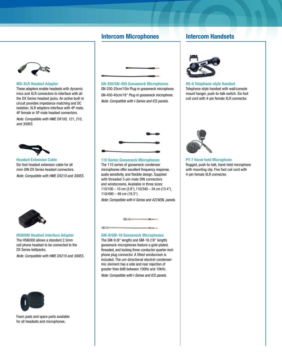### **Intercom Microphones Intercom Handsets**



#### MD-XLR Headset Adapter

These adapters enable headsets with dynamic mics and XLR connectors to interface with all the DX Series headset jacks. An active built-in circuit provides impedance matching and DC isolation. XLR adapters interface with 4P male, 4P female or 5P male headset connectors.

*Note: Compatible with HME DX100, 121, 210, and 300ES.*



Headset Extension Cable Six-foot headset extension cable for all mini-DIN DX Series headset connectors.

*Note: Compatible with HME DX210 and 300ES.*



HSI6000 Headset Interface Adapter The HSI6000 allows a standard 2.5mm cell phone headset to be connected to the DX Series beltpacks.

*Note: Compatible with HME DX210 and 300ES.*



Foam pads and spare parts available for all headsets and microphones*.*



GN-250/GN-450 Gooseneck Microphones GN-250-25cm/10in Plug-in gooseneck microphone. GN-450-45cm/18" Plug-in gooseneck microphone. *Note: Compatible with I-Series and ICS panels.*



110 Series Gooseneck Microphones The 110 series of gooseneck condenser microphones offer excellent frequency response, audio sensitivity, and flexible design. Supplied with threaded 3-pin male DIN connectors and windscreens. Available in three sizes: 110/100 – 10 cm (3.9"), 110/340 – 34 cm (13.4"), 110/490 – 49 cm (19.3").

*Note: Compatible with V-Series and 4224EBL panels.*



GM-9/GM-18 Gooseneck Microphones The GM-9 (9" length) and GM-18 (18" length)

gooseneck microphones feature a gold-plated, threaded, and locking three-conductor quarter-inch phone plug connector. A fitted windscreen is included. The uni-directional electret condenser mic element has a side and rear rejection of greater than 6dB between 100Hz and 10kHz.

*Note: Compatible with I-Series and ICS panels.*



HS-6 Telephone-style Handset Telephone-style handset with wall/console mount hanger, push-to-talk switch. Six foot coil cord with 4-pin female XLR connector.



PT-7 Hand-held Microphone Rugged, push-to-talk, hand-held microphone with mounting clip. Five foot coil cord with 4-pin female XLR connector.